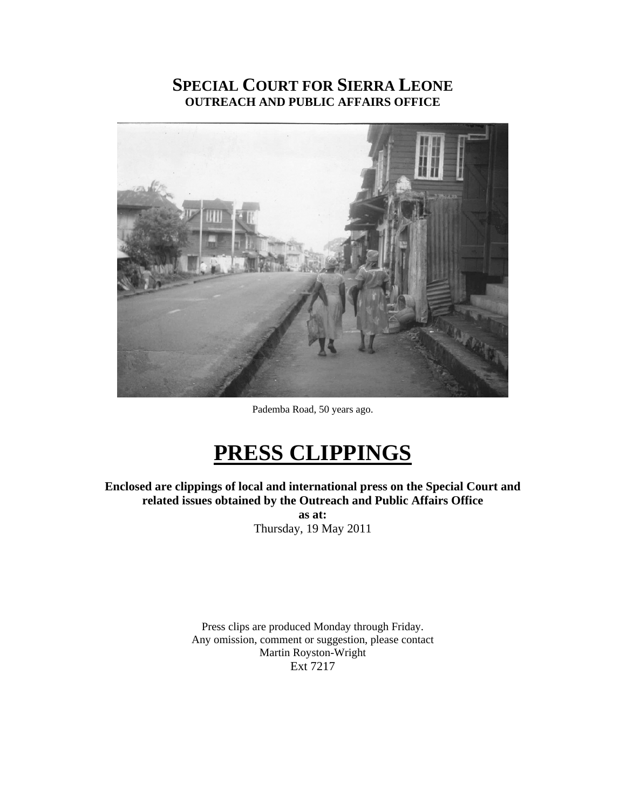# **SPECIAL COURT FOR SIERRA LEONE OUTREACH AND PUBLIC AFFAIRS OFFICE**



Pademba Road, 50 years ago.

# **PRESS CLIPPINGS**

**Enclosed are clippings of local and international press on the Special Court and related issues obtained by the Outreach and Public Affairs Office** 

**as at:**  Thursday, 19 May 2011

Press clips are produced Monday through Friday. Any omission, comment or suggestion, please contact Martin Royston-Wright Ext 7217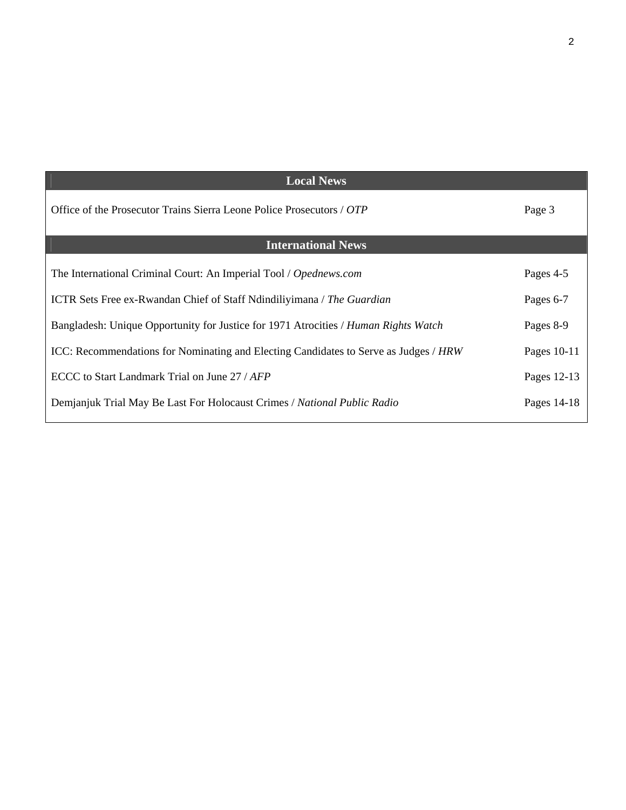| <b>Local News</b>                                                                    |             |
|--------------------------------------------------------------------------------------|-------------|
|                                                                                      |             |
| Office of the Prosecutor Trains Sierra Leone Police Prosecutors / OTP                | Page 3      |
|                                                                                      |             |
| <b>International News</b>                                                            |             |
|                                                                                      |             |
| The International Criminal Court: An Imperial Tool / Opednews.com                    | Pages 4-5   |
|                                                                                      |             |
| <b>ICTR</b> Sets Free ex-Rwandan Chief of Staff Ndindiliyimana / The Guardian        | Pages 6-7   |
| Bangladesh: Unique Opportunity for Justice for 1971 Atrocities / Human Rights Watch  | Pages 8-9   |
|                                                                                      |             |
| ICC: Recommendations for Nominating and Electing Candidates to Serve as Judges / HRW | Pages 10-11 |
|                                                                                      |             |
| ECCC to Start Landmark Trial on June 27 / AFP                                        | Pages 12-13 |
| Demjanjuk Trial May Be Last For Holocaust Crimes / National Public Radio             | Pages 14-18 |
|                                                                                      |             |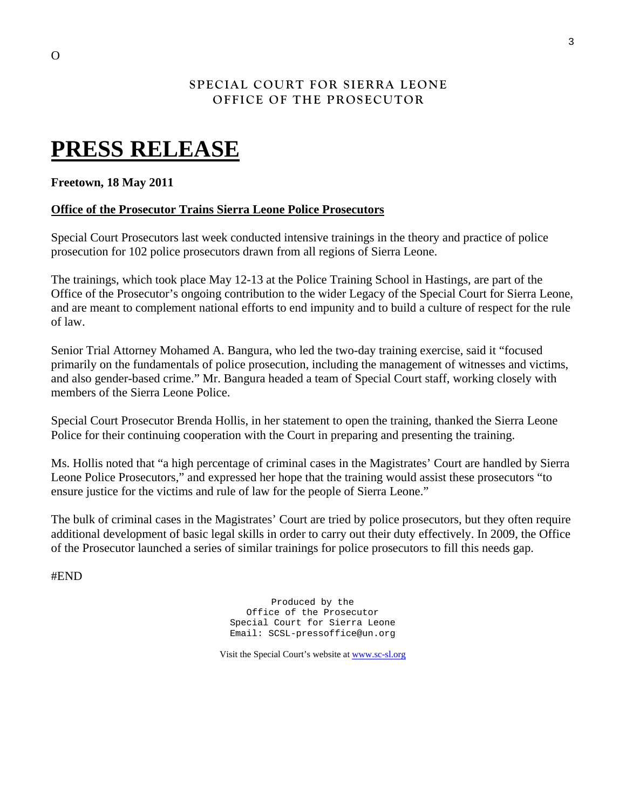### **SPECIAL COURT FOR SIERRA LEONE OFFICE OF THE PROSECUTOR**

# **PRESS RELEASE**

#### **Freetown, 18 May 2011**

#### **Office of the Prosecutor Trains Sierra Leone Police Prosecutors**

Special Court Prosecutors last week conducted intensive trainings in the theory and practice of police prosecution for 102 police prosecutors drawn from all regions of Sierra Leone.

The trainings, which took place May 12-13 at the Police Training School in Hastings, are part of the Office of the Prosecutor's ongoing contribution to the wider Legacy of the Special Court for Sierra Leone, and are meant to complement national efforts to end impunity and to build a culture of respect for the rule of law.

Senior Trial Attorney Mohamed A. Bangura, who led the two-day training exercise, said it "focused primarily on the fundamentals of police prosecution, including the management of witnesses and victims, and also gender-based crime." Mr. Bangura headed a team of Special Court staff, working closely with members of the Sierra Leone Police.

Special Court Prosecutor Brenda Hollis, in her statement to open the training, thanked the Sierra Leone Police for their continuing cooperation with the Court in preparing and presenting the training.

Ms. Hollis noted that "a high percentage of criminal cases in the Magistrates' Court are handled by Sierra Leone Police Prosecutors," and expressed her hope that the training would assist these prosecutors "to ensure justice for the victims and rule of law for the people of Sierra Leone."

The bulk of criminal cases in the Magistrates' Court are tried by police prosecutors, but they often require additional development of basic legal skills in order to carry out their duty effectively. In 2009, the Office of the Prosecutor launched a series of similar trainings for police prosecutors to fill this needs gap.

#END

Produced by the Office of the Prosecutor Special Court for Sierra Leone Email: SCSL-pressoffice@un.org

Visit the Special Court's website at [www.sc-sl.org](http://www.sc-sl.org/)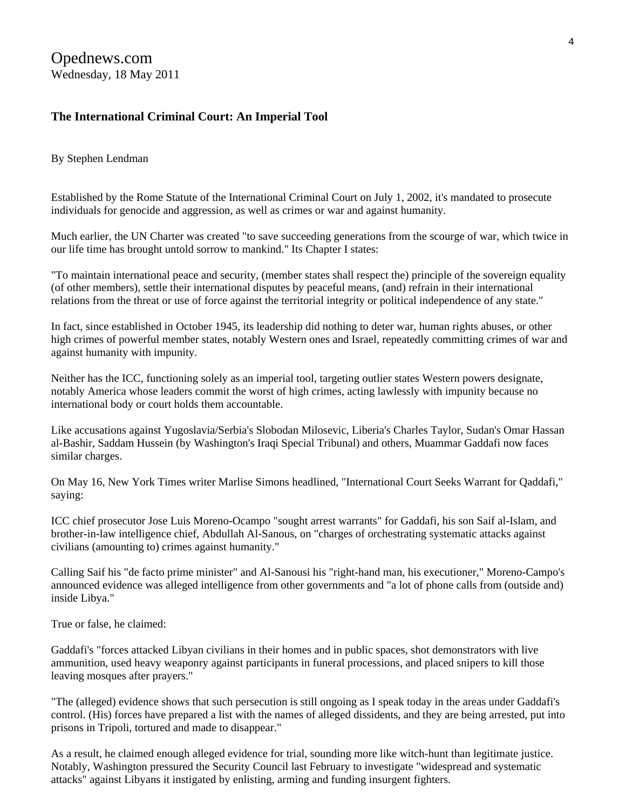# **The International Criminal Court: An Imperial Tool**

By Stephen Lendman

Established by the Rome Statute of the International Criminal Court on July 1, 2002, it's mandated to prosecute individuals for genocide and aggression, as well as crimes or war and against humanity.

Much earlier, the UN Charter was created "to save succeeding generations from the scourge of war, which twice in our life time has brought untold sorrow to mankind." Its Chapter I states:

"To maintain international peace and security, (member states shall respect the) principle of the sovereign equality (of other members), settle their international disputes by peaceful means, (and) refrain in their international relations from the threat or use of force against the territorial integrity or political independence of any state."

In fact, since established in October 1945, its leadership did nothing to deter war, human rights abuses, or other high crimes of powerful member states, notably Western ones and Israel, repeatedly committing crimes of war and against humanity with impunity.

Neither has the ICC, functioning solely as an imperial tool, targeting outlier states Western powers designate, notably America whose leaders commit the worst of high crimes, acting lawlessly with impunity because no international body or court holds them accountable.

Like accusations against Yugoslavia/Serbia's Slobodan Milosevic, Liberia's Charles Taylor, Sudan's Omar Hassan al-Bashir, Saddam Hussein (by Washington's Iraqi Special Tribunal) and others, Muammar Gaddafi now faces similar charges.

On May 16, New York Times writer Marlise Simons headlined, "International Court Seeks Warrant for Qaddafi," saying:

ICC chief prosecutor Jose Luis Moreno-Ocampo "sought arrest warrants" for Gaddafi, his son Saif al-Islam, and brother-in-law intelligence chief, Abdullah Al-Sanous, on "charges of orchestrating systematic attacks against civilians (amounting to) crimes against humanity."

Calling Saif his "de facto prime minister" and Al-Sanousi his "right-hand man, his executioner," Moreno-Campo's announced evidence was alleged intelligence from other governments and "a lot of phone calls from (outside and) inside Libya."

True or false, he claimed:

Gaddafi's "forces attacked Libyan civilians in their homes and in public spaces, shot demonstrators with live ammunition, used heavy weaponry against participants in funeral processions, and placed snipers to kill those leaving mosques after prayers."

"The (alleged) evidence shows that such persecution is still ongoing as I speak today in the areas under Gaddafi's control. (His) forces have prepared a list with the names of alleged dissidents, and they are being arrested, put into prisons in Tripoli, tortured and made to disappear."

As a result, he claimed enough alleged evidence for trial, sounding more like witch-hunt than legitimate justice. Notably, Washington pressured the Security Council last February to investigate "widespread and systematic attacks" against Libyans it instigated by enlisting, arming and funding insurgent fighters.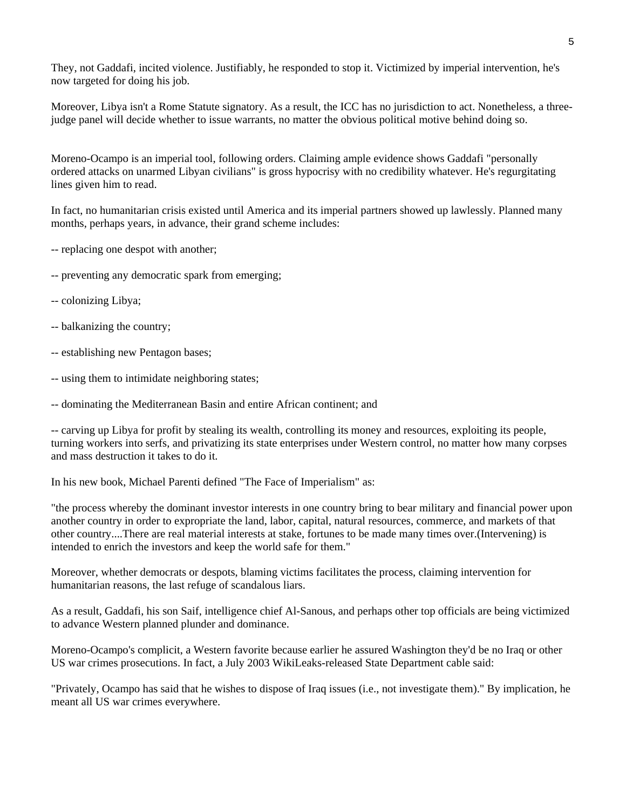They, not Gaddafi, incited violence. Justifiably, he responded to stop it. Victimized by imperial intervention, he's now targeted for doing his job.

Moreover, Libya isn't a Rome Statute signatory. As a result, the ICC has no jurisdiction to act. Nonetheless, a threejudge panel will decide whether to issue warrants, no matter the obvious political motive behind doing so.

Moreno-Ocampo is an imperial tool, following orders. Claiming ample evidence shows Gaddafi "personally ordered attacks on unarmed Libyan civilians" is gross hypocrisy with no credibility whatever. He's regurgitating lines given him to read.

In fact, no humanitarian crisis existed until America and its imperial partners showed up lawlessly. Planned many months, perhaps years, in advance, their grand scheme includes:

- -- replacing one despot with another;
- -- preventing any democratic spark from emerging;
- -- colonizing Libya;
- -- balkanizing the country;
- -- establishing new Pentagon bases;
- -- using them to intimidate neighboring states;

-- dominating the Mediterranean Basin and entire African continent; and

-- carving up Libya for profit by stealing its wealth, controlling its money and resources, exploiting its people, turning workers into serfs, and privatizing its state enterprises under Western control, no matter how many corpses and mass destruction it takes to do it.

In his new book, Michael Parenti defined "The Face of Imperialism" as:

"the process whereby the dominant investor interests in one country bring to bear military and financial power upon another country in order to expropriate the land, labor, capital, natural resources, commerce, and markets of that other country....There are real material interests at stake, fortunes to be made many times over.(Intervening) is intended to enrich the investors and keep the world safe for them."

Moreover, whether democrats or despots, blaming victims facilitates the process, claiming intervention for humanitarian reasons, the last refuge of scandalous liars.

As a result, Gaddafi, his son Saif, intelligence chief Al-Sanous, and perhaps other top officials are being victimized to advance Western planned plunder and dominance.

Moreno-Ocampo's complicit, a Western favorite because earlier he assured Washington they'd be no Iraq or other US war crimes prosecutions. In fact, a July 2003 WikiLeaks-released State Department cable said:

"Privately, Ocampo has said that he wishes to dispose of Iraq issues (i.e., not investigate them)." By implication, he meant all US war crimes everywhere.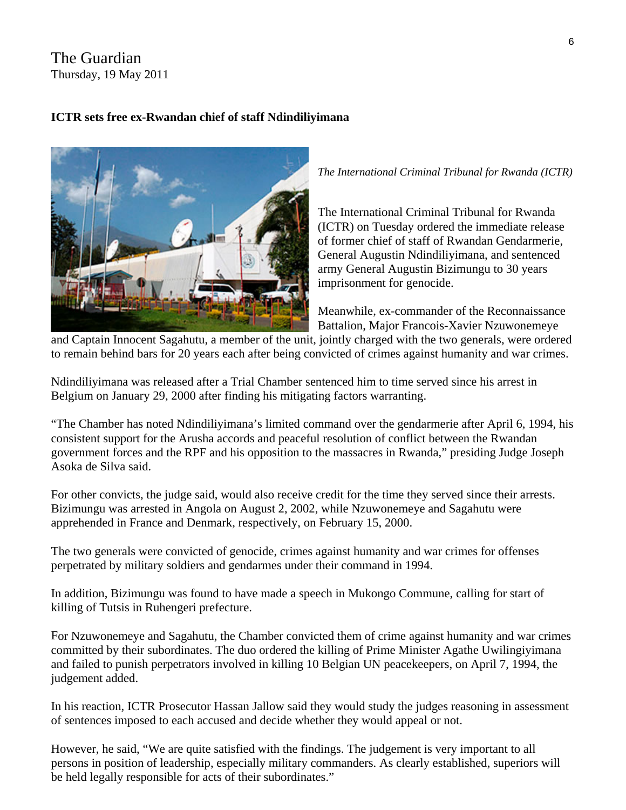# The Guardian Thursday, 19 May 2011

# **ICTR sets free ex-Rwandan chief of staff Ndindiliyimana**



*The International Criminal Tribunal for Rwanda (ICTR)* 

The International Criminal Tribunal for Rwanda (ICTR) on Tuesday ordered the immediate release of former chief of staff of Rwandan Gendarmerie, General Augustin Ndindiliyimana, and sentenced army General Augustin Bizimungu to 30 years imprisonment for genocide.

Meanwhile, ex-commander of the Reconnaissance Battalion, Major Francois-Xavier Nzuwonemeye

and Captain Innocent Sagahutu, a member of the unit, jointly charged with the two generals, were ordered to remain behind bars for 20 years each after being convicted of crimes against humanity and war crimes.

Ndindiliyimana was released after a Trial Chamber sentenced him to time served since his arrest in Belgium on January 29, 2000 after finding his mitigating factors warranting.

The Chamber has noted Ndindiliyimana's limited command over the gendarmerie after April 6, 1994, his " government forces and the RPF and his opposition to the massacres in Rwanda," presiding Judge Joseph consistent support for the Arusha accords and peaceful resolution of conflict between the Rwandan Asoka de Silva said.

For other convicts, the judge said, would also receive credit for the time they served since their arrests. Bizimungu was arrested in Angola on August 2, 2002, while Nzuwonemeye and Sagahutu were apprehended in France and Denmark, respectively, on February 15, 2000.

The two generals were convicted of genocide, crimes against humanity and war crimes for offenses perpetrated by military soldiers and gendarmes under their command in 1994.

In addition, Bizimungu was found to have made a speech in Mukongo Commune, calling for start of killing of Tutsis in Ruhengeri prefecture.

For Nzuwonemeye and Sagahutu, the Chamber convicted them of crime against humanity and war crimes committed by their subordinates. The duo ordered the killing of Prime Minister Agathe Uwilingiyimana and failed to punish perpetrators involved in killing 10 Belgian UN peacekeepers, on April 7, 1994, the judgement added.

In his reaction, ICTR Prosecutor Hassan Jallow said they would study the judges reasoning in assessment of sentences imposed to each accused and decide whether they would appeal or not.

However, he said, "We are quite satisfied with the findings. The judgement is very important to all persons in position of leadership, especially military commanders. As clearly established, superiors will be held legally responsible for acts of their subordinates."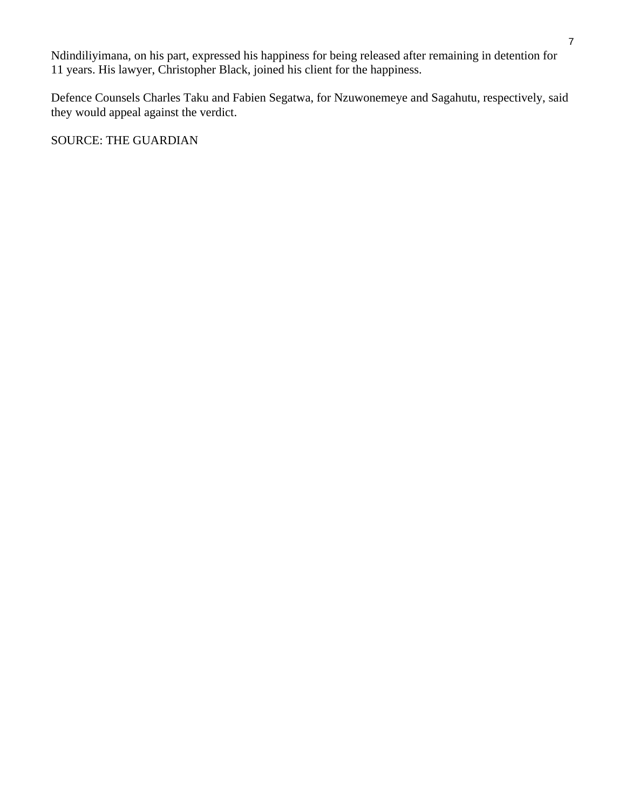Ndindiliyimana, on his part, expressed his happiness for being released after remaining in detention f or 11 years. His lawyer, Christopher Black, joined his client for the happiness.

Defence Counsels Charles Taku and Fabien Segatwa, for Nzuwonemeye and Sagahutu, respectively, said they would appeal against the verdict.

SOURCE: THE GUARDIAN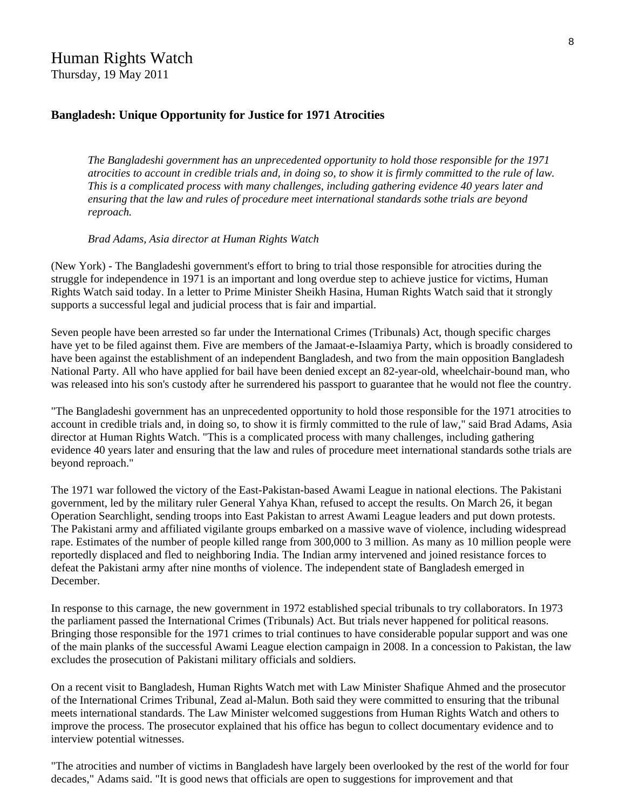# Human Rights Watch

Thursday, 19 May 2011

#### **[Bangladesh: Unique Opportunity for Justice for 1971 Atrocities](http://www.hrw.org/en/news/2011/05/19/bangladesh-unique-opportunity-justice-1971-atrocities)**

*The Bangladeshi government has an unprecedented opportunity to hold those responsible for the 1971 atrocities to account in credible trials and, in doing so, to show it is firmly committed to the rule of law. This is a complicated process with many challenges, including gathering evidence 40 years later and ensuring that the law and rules of procedure meet international standards sothe trials are beyond reproach.* 

#### *Brad Adams, Asia director at Human Rights Watch*

(New York) - The Bangladeshi government's effort to bring to trial those responsible for atrocities during the struggle for independence in 1971 is an important and long overdue step to achieve justice for victims, Human Rights Watch said today. In a [letter](http://www.hrw.org/node/98995) to Prime Minister Sheikh Hasina, Human Rights Watch said that it strongly supports a successful legal and judicial process that is fair and impartial.

Seven people have been arrested so far under the International Crimes (Tribunals) Act, though specific charges have yet to be filed against them. Five are members of the Jamaat-e-Islaamiya Party, which is broadly considered to have been against the establishment of an independent Bangladesh, and two from the main opposition Bangladesh National Party. All who have applied for bail have been denied except an 82-year-old, wheelchair-bound man, who was released into his son's custody after he surrendered his passport to guarantee that he would not flee the country.

"The Bangladeshi government has an unprecedented opportunity to hold those responsible for the 1971 atrocities to account in credible trials and, in doing so, to show it is firmly committed to the rule of law," said Brad Adams, Asia director at Human Rights Watch. "This is a complicated process with many challenges, including gathering evidence 40 years later and ensuring that the law and rules of procedure meet international standards sothe trials are beyond reproach."

The 1971 war followed the victory of the East-Pakistan-based Awami League in national elections. The Pakistani government, led by the military ruler General Yahya Khan, refused to accept the results. On March 26, it began Operation Searchlight, sending troops into East Pakistan to arrest Awami League leaders and put down protests. The Pakistani army and affiliated vigilante groups embarked on a massive wave of violence, including widespread rape. Estimates of the number of people killed range from 300,000 to 3 million. As many as 10 million people were reportedly displaced and fled to neighboring India. The Indian army intervened and joined resistance forces to defeat the Pakistani army after nine months of violence. The independent state of Bangladesh emerged in December.

In response to this carnage, the new government in 1972 established special tribunals to try collaborators. In 1973 the parliament passed the International Crimes (Tribunals) Act. But trials never happened for political reasons. Bringing those responsible for the 1971 crimes to trial continues to have considerable popular support and was one of the main planks of the successful Awami League election campaign in 2008. In a concession to Pakistan, the law excludes the prosecution of Pakistani military officials and soldiers.

On a recent visit to Bangladesh, Human Rights Watch met with Law Minister Shafique Ahmed and the prosecutor of the International Crimes Tribunal, Zead al-Malun. Both said they were committed to ensuring that the tribunal meets international standards. The Law Minister welcomed suggestions from Human Rights Watch and others to improve the process. The prosecutor explained that his office has begun to collect documentary evidence and to interview potential witnesses.

"The atrocities and number of victims in Bangladesh have largely been overlooked by the rest of the world for four decades," Adams said. "It is good news that officials are open to suggestions for improvement and that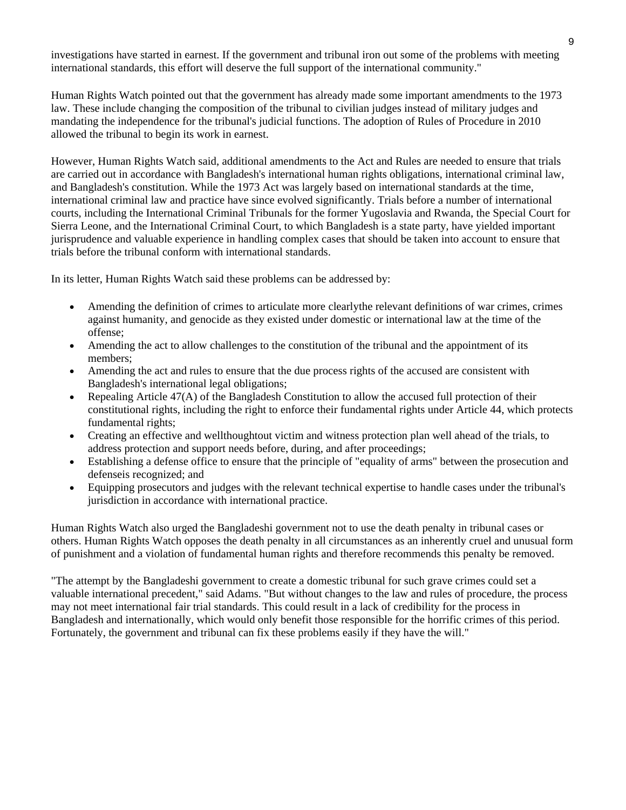investigations have started in earnest. If the government and tribunal iron out some of the problems with meeting international standards, this effort will deserve the full support of the international community."

Human Rights Watch pointed out that the government has already made some important amendments to the 1973 law. These include changing the composition of the tribunal to civilian judges instead of military judges and mandating the independence for the tribunal's judicial functions. The adoption of Rules of Procedure in 2010 allowed the tribunal to begin its work in earnest.

However, Human Rights Watch said, additional amendments to the Act and Rules are needed to ensure that trials are carried out in accordance with Bangladesh's international human rights obligations, international criminal law, and Bangladesh's constitution. While the 1973 Act was largely based on international standards at the time, international criminal law and practice have since evolved significantly. Trials before a number of international courts, including the International Criminal Tribunals for the former Yugoslavia and Rwanda, the Special Court for Sierra Leone, and the International Criminal Court, to which Bangladesh is a state party, have yielded important jurisprudence and valuable experience in handling complex cases that should be taken into account to ensure that trials before the tribunal conform with international standards.

In its letter, Human Rights Watch said these problems can be addressed by:

- Amending the definition of crimes to articulate more clearlythe relevant definitions of war crimes, crimes against humanity, and genocide as they existed under domestic or international law at the time of the offense;
- Amending the act to allow challenges to the constitution of the tribunal and the appointment of its members;
- Amending the act and rules to ensure that the due process rights of the accused are consistent with Bangladesh's international legal obligations;
- Repealing Article 47(A) of the Bangladesh Constitution to allow the accused full protection of their constitutional rights, including the right to enforce their fundamental rights under Article 44, which protects fundamental rights;
- Creating an effective and wellthoughtout victim and witness protection plan well ahead of the trials, to address protection and support needs before, during, and after proceedings;
- Establishing a defense office to ensure that the principle of "equality of arms" between the prosecution and defenseis recognized; and
- Equipping prosecutors and judges with the relevant technical expertise to handle cases under the tribunal's jurisdiction in accordance with international practice.

Human Rights Watch also urged the Bangladeshi government not to use the death penalty in tribunal cases or others. Human Rights Watch opposes the death penalty in all circumstances as an inherently cruel and unusual form of punishment and a violation of fundamental human rights and therefore recommends this penalty be removed.

"The attempt by the Bangladeshi government to create a domestic tribunal for such grave crimes could set a valuable international precedent," said Adams. "But without changes to the law and rules of procedure, the process may not meet international fair trial standards. This could result in a lack of credibility for the process in Bangladesh and internationally, which would only benefit those responsible for the horrific crimes of this period. Fortunately, the government and tribunal can fix these problems easily if they have the will."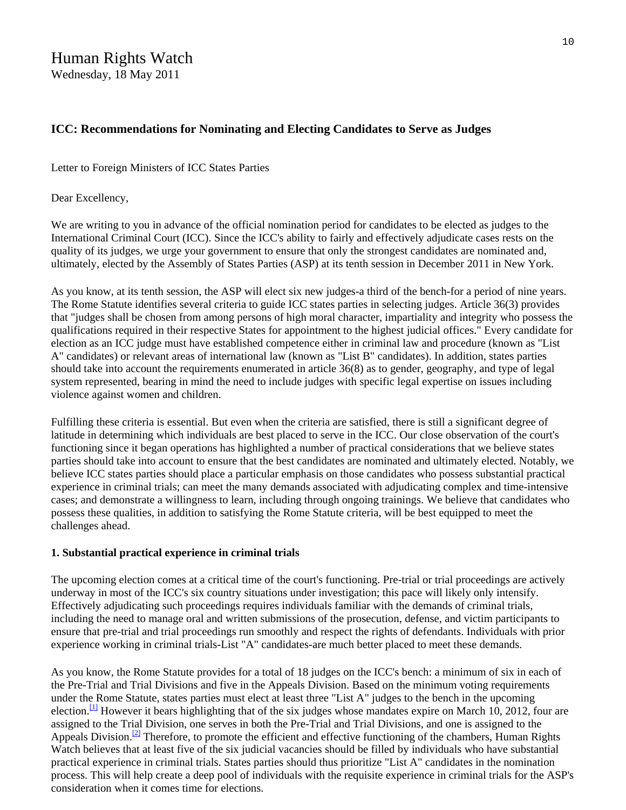#### **[ICC: Recommendations for Nominating and Electing Candidates to Serve as Judges](http://www.hrw.org/en/news/2011/05/18/icc-recommendations-nominating-and-electing-candidates-serve-judges)**

Letter to Foreign Ministers of ICC States Parties

Dear Excellency,

We are writing to you in advance of the official nomination period for candidates to be elected as judges to the International Criminal Court (ICC). Since the ICC's ability to fairly and effectively adjudicate cases rests on the quality of its judges, we urge your government to ensure that only the strongest candidates are nominated and, ultimately, elected by the Assembly of States Parties (ASP) at its tenth session in December 2011 in New York.

As you know, at its tenth session, the ASP will elect six new judges-a third of the bench-for a period of nine years. The Rome Statute identifies several criteria to guide ICC states parties in selecting judges. Article 36(3) provides that "judges shall be chosen from among persons of high moral character, impartiality and integrity who possess the qualifications required in their respective States for appointment to the highest judicial offices." Every candidate for election as an ICC judge must have established competence either in criminal law and procedure (known as "List A" candidates) or relevant areas of international law (known as "List B" candidates). In addition, states parties should take into account the requirements enumerated in article 36(8) as to gender, geography, and type of legal system represented, bearing in mind the need to include judges with specific legal expertise on issues including violence against women and children.

Fulfilling these criteria is essential. But even when the criteria are satisfied, there is still a significant degree of latitude in determining which individuals are best placed to serve in the ICC. Our close observation of the court's functioning since it began operations has highlighted a number of practical considerations that we believe states parties should take into account to ensure that the best candidates are nominated and ultimately elected. Notably, we believe ICC states parties should place a particular emphasis on those candidates who possess substantial practical experience in criminal trials; can meet the many demands associated with adjudicating complex and time-intensive cases; and demonstrate a willingness to learn, including through ongoing trainings. We believe that candidates who possess these qualities, in addition to satisfying the Rome Statute criteria, will be best equipped to meet the challenges ahead.

#### **1. Substantial practical experience in criminal trials**

The upcoming election comes at a critical time of the court's functioning. Pre-trial or trial proceedings are actively underway in most of the ICC's six country situations under investigation; this pace will likely only intensify. Effectively adjudicating such proceedings requires individuals familiar with the demands of criminal trials, including the need to manage oral and written submissions of the prosecution, defense, and victim participants to ensure that pre-trial and trial proceedings run smoothly and respect the rights of defendants. Individuals with prior experience working in criminal trials-List "A" candidates-are much better placed to meet these demands.

As you know, the Rome Statute provides for a total of 18 judges on the ICC's bench: a minimum of six in each of the Pre-Trial and Trial Divisions and five in the Appeals Division. Based on the minimum voting requirements under the Rome Statute, states parties must elect at least three "List A" judges to the bench in the upcoming election.<sup>[1]</sup> However it bears highlighting that of the six judges whose mandates expire on March 10, 2012, four are assigned to the Trial Division, one serves in both the Pre-Trial and Trial Divisions, and one is assigned to the Appeals Division.<sup>[2]</sup> Therefore, to promote the efficient and effective functioning of the chambers, Human Rights Watch believes that at least five of the six judicial vacancies should be filled by individuals who have substantial practical experience in criminal trials. States parties should thus prioritize "List A" candidates in the nomination process. This will help create a deep pool of individuals with the requisite experience in criminal trials for the ASP's consideration when it comes time for elections.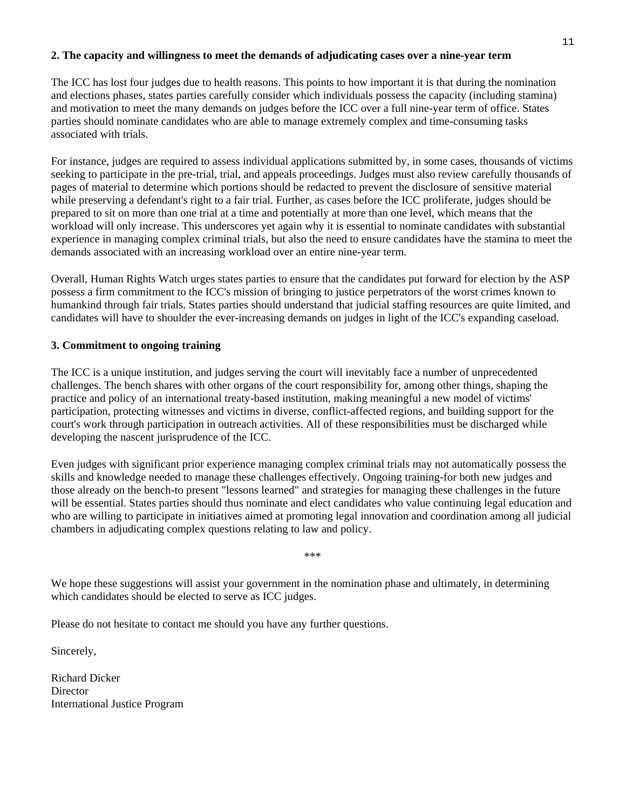#### **2. The capacity and willingness to meet the demands of adjudicating cases over a nine-year term**

The ICC has lost four judges due to health reasons. This points to how important it is that during the nomination and elections phases, states parties carefully consider which individuals possess the capacity (including stamina) and motivation to meet the many demands on judges before the ICC over a full nine-year term of office. States parties should nominate candidates who are able to manage extremely complex and time-consuming tasks associated with trials.

For instance, judges are required to assess individual applications submitted by, in some cases, thousands of victims seeking to participate in the pre-trial, trial, and appeals proceedings. Judges must also review carefully thousands of pages of material to determine which portions should be redacted to prevent the disclosure of sensitive material while preserving a defendant's right to a fair trial. Further, as cases before the ICC proliferate, judges should be prepared to sit on more than one trial at a time and potentially at more than one level, which means that the workload will only increase. This underscores yet again why it is essential to nominate candidates with substantial experience in managing complex criminal trials, but also the need to ensure candidates have the stamina to meet the demands associated with an increasing workload over an entire nine-year term.

Overall, Human Rights Watch urges states parties to ensure that the candidates put forward for election by the ASP possess a firm commitment to the ICC's mission of bringing to justice perpetrators of the worst crimes known to humankind through fair trials. States parties should understand that judicial staffing resources are quite limited, and candidates will have to shoulder the ever-increasing demands on judges in light of the ICC's expanding caseload.

#### **3. Commitment to ongoing training**

The ICC is a unique institution, and judges serving the court will inevitably face a number of unprecedented challenges. The bench shares with other organs of the court responsibility for, among other things, shaping the practice and policy of an international treaty-based institution, making meaningful a new model of victims' participation, protecting witnesses and victims in diverse, conflict-affected regions, and building support for the court's work through participation in outreach activities. All of these responsibilities must be discharged while developing the nascent jurisprudence of the ICC.

Even judges with significant prior experience managing complex criminal trials may not automatically possess the skills and knowledge needed to manage these challenges effectively. Ongoing training-for both new judges and those already on the bench-to present "lessons learned" and strategies for managing these challenges in the future will be essential. States parties should thus nominate and elect candidates who value continuing legal education and who are willing to participate in initiatives aimed at promoting legal innovation and coordination among all judicial chambers in adjudicating complex questions relating to law and policy.

\*\*\*

We hope these suggestions will assist your government in the nomination phase and ultimately, in determining which candidates should be elected to serve as ICC judges.

Please do not hesitate to contact me should you have any further questions.

Sincerely,

Richard Dicker **Director** International Justice Program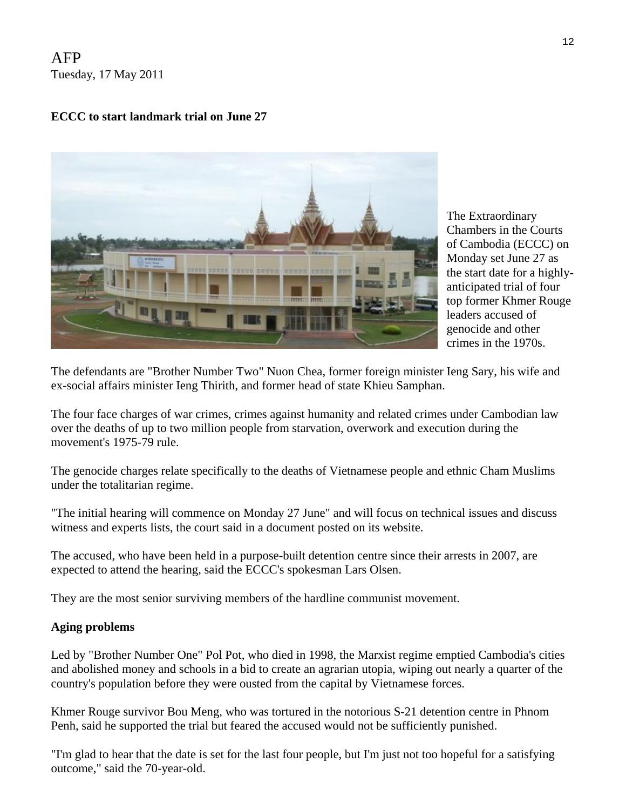AFP Tuesday, 17 May 2011

# **ECCC to start landmark trial on June 27**



the start date for a highlytop former Khmer Rouge The Extraordinary Chambers in the Courts of Cambodia (ECCC) on Monday set June 27 as anticipated trial of four leaders accused of genocide and other crimes in the 1970s.

The defendants are "Brother Number Two" Nuon Chea, former foreign minister Ieng Sary, his wife and ex-social affairs minister Ieng Thirith, and former head of state Khieu Samphan.

The four face charges of war crimes, crimes against humanity and related crimes under Cambodian law over the deaths of up to two million people from starvation, overwork and execution during the movement's 1975-79 rule.

The genocide charges relate specifically to the deaths of Vietnamese people and ethnic Cham Muslims under the totalitarian regime.

"The initial hearing will commence on Monday 27 June" and will focus on technical issues and discuss witness and experts lists, the court said in a document posted on its website.

The accused, who have been held in a purpose-built detention centre since their arrests in 2007, are expected to attend the hearing, said the ECCC's spokesman Lars Olsen.

They are the most senior surviving members of the hardline communist movement.

### **Aging problems**

Led by "Brother Number One" Pol Pot, who died in 1998, the Marxist regime emptied Cambodia's cities and abolished money and schools in a bid to create an agrarian utopia, wiping out nearly a quarter of the country's population before they were ousted from the capital by Vietnamese forces.

Khmer Rouge survivor Bou Meng, who was tortured in the notorious S-21 detention centre in Phnom Penh, said he supported the trial but feared the accused would not be sufficiently punished.

"I'm glad to hear that the date is set for the last four people, but I'm just not too hopeful for a satisfying outcome," said the 70-year-old.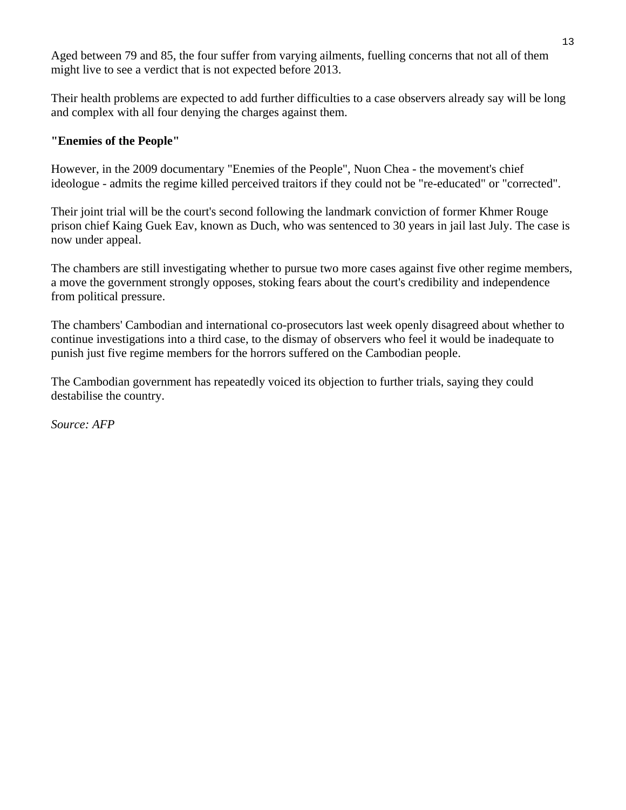Aged between 79 and 85, the four suffer from varying ailments, fuelling concerns that not all of them might live to see a verdict that is not expected before 2013.

Their health problems are expected to add further difficulties to a case observers already say will be long and complex with all four denying the charges against them.

# **"Enemies of the People"**

However, in the 2009 documentary "Enemies of the People", Nuon Chea - the movement's chief ideologue - admits the regime killed perceived traitors if they could not be "re-educated" or "corrected".

Their joint trial will be the court's second following the landmark conviction of former Khmer Rouge prison chief Kaing Guek Eav, known as Duch, who was sentenced to 30 years in jail last July. The case is now under appeal.

The chambers are still investigating whether to pursue two more cases against five other regime members, a move the government strongly opposes, stoking fears about the court's credibility and independence from political pressure.

The chambers' Cambodian and international co-prosecutors last week openly disagreed about whether to continue investigations into a third case, to the dismay of observers who feel it would be inadequate to punish just five regime members for the horrors suffered on the Cambodian people.

The Cambodian government has repeatedly voiced its objection to further trials, saying they could destabilise the country.

*Source: AFP*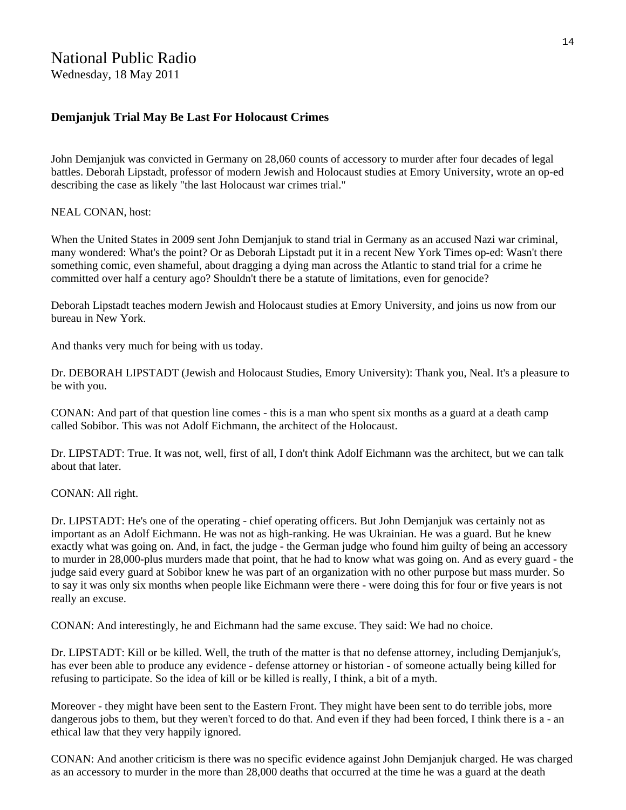# National Public Radio

Wednesday, 18 May 2011

#### **Demjanjuk Trial May Be Last For Holocaust Crimes**

John Demjanjuk was convicted in Germany on 28,060 counts of accessory to murder after four decades of legal battles. Deborah Lipstadt, professor of modern Jewish and Holocaust studies at Emory University, wrote an op-ed describing the case as likely "the last Holocaust war crimes trial."

NEAL CONAN, host:

When the United States in 2009 sent John Demjanjuk to stand trial in Germany as an accused Nazi war criminal, many wondered: What's the point? Or as Deborah Lipstadt put it in a recent New York Times op-ed: Wasn't there something comic, even shameful, about dragging a dying man across the Atlantic to stand trial for a crime he committed over half a century ago? Shouldn't there be a statute of limitations, even for genocide?

Deborah Lipstadt teaches modern Jewish and Holocaust studies at Emory University, and joins us now from our bureau in New York.

And thanks very much for being with us today.

Dr. DEBORAH LIPSTADT (Jewish and Holocaust Studies, Emory University): Thank you, Neal. It's a pleasure to be with you.

CONAN: And part of that question line comes - this is a man who spent six months as a guard at a death camp called Sobibor. This was not Adolf Eichmann, the architect of the Holocaust.

Dr. LIPSTADT: True. It was not, well, first of all, I don't think Adolf Eichmann was the architect, but we can talk about that later.

CONAN: All right.

Dr. LIPSTADT: He's one of the operating - chief operating officers. But John Demjanjuk was certainly not as important as an Adolf Eichmann. He was not as high-ranking. He was Ukrainian. He was a guard. But he knew exactly what was going on. And, in fact, the judge - the German judge who found him guilty of being an accessory to murder in 28,000-plus murders made that point, that he had to know what was going on. And as every guard - the judge said every guard at Sobibor knew he was part of an organization with no other purpose but mass murder. So to say it was only six months when people like Eichmann were there - were doing this for four or five years is not really an excuse.

CONAN: And interestingly, he and Eichmann had the same excuse. They said: We had no choice.

Dr. LIPSTADT: Kill or be killed. Well, the truth of the matter is that no defense attorney, including Demjanjuk's, has ever been able to produce any evidence - defense attorney or historian - of someone actually being killed for refusing to participate. So the idea of kill or be killed is really, I think, a bit of a myth.

Moreover - they might have been sent to the Eastern Front. They might have been sent to do terrible jobs, more dangerous jobs to them, but they weren't forced to do that. And even if they had been forced, I think there is a - an ethical law that they very happily ignored.

CONAN: And another criticism is there was no specific evidence against John Demjanjuk charged. He was charged as an accessory to murder in the more than 28,000 deaths that occurred at the time he was a guard at the death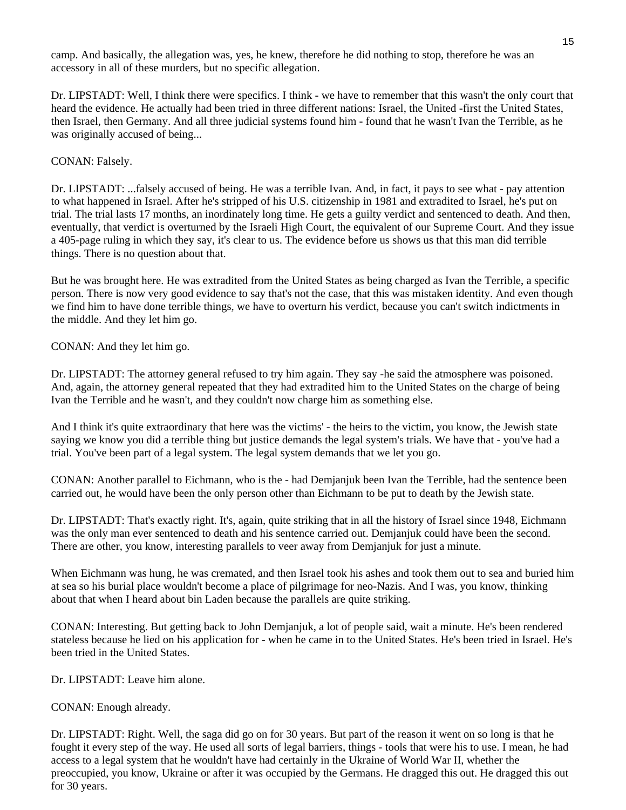camp. And basically, the allegation was, yes, he knew, therefore he did nothing to stop, therefore he was an accessory in all of these murders, but no specific allegation.

Dr. LIPSTADT: Well, I think there were specifics. I think - we have to remember that this wasn't the only court that heard the evidence. He actually had been tried in three different nations: Israel, the United -first the United States, then Israel, then Germany. And all three judicial systems found him - found that he wasn't Ivan the Terrible, as he was originally accused of being...

#### CONAN: Falsely.

Dr. LIPSTADT: ...falsely accused of being. He was a terrible Ivan. And, in fact, it pays to see what - pay attention to what happened in Israel. After he's stripped of his U.S. citizenship in 1981 and extradited to Israel, he's put on trial. The trial lasts 17 months, an inordinately long time. He gets a guilty verdict and sentenced to death. And then, eventually, that verdict is overturned by the Israeli High Court, the equivalent of our Supreme Court. And they issue a 405-page ruling in which they say, it's clear to us. The evidence before us shows us that this man did terrible things. There is no question about that.

But he was brought here. He was extradited from the United States as being charged as Ivan the Terrible, a specific person. There is now very good evidence to say that's not the case, that this was mistaken identity. And even though we find him to have done terrible things, we have to overturn his verdict, because you can't switch indictments in the middle. And they let him go.

CONAN: And they let him go.

Dr. LIPSTADT: The attorney general refused to try him again. They say -he said the atmosphere was poisoned. And, again, the attorney general repeated that they had extradited him to the United States on the charge of being Ivan the Terrible and he wasn't, and they couldn't now charge him as something else.

And I think it's quite extraordinary that here was the victims' - the heirs to the victim, you know, the Jewish state saying we know you did a terrible thing but justice demands the legal system's trials. We have that - you've had a trial. You've been part of a legal system. The legal system demands that we let you go.

CONAN: Another parallel to Eichmann, who is the - had Demjanjuk been Ivan the Terrible, had the sentence been carried out, he would have been the only person other than Eichmann to be put to death by the Jewish state.

Dr. LIPSTADT: That's exactly right. It's, again, quite striking that in all the history of Israel since 1948, Eichmann was the only man ever sentenced to death and his sentence carried out. Demjanjuk could have been the second. There are other, you know, interesting parallels to veer away from Demjanjuk for just a minute.

When Eichmann was hung, he was cremated, and then Israel took his ashes and took them out to sea and buried him at sea so his burial place wouldn't become a place of pilgrimage for neo-Nazis. And I was, you know, thinking about that when I heard about bin Laden because the parallels are quite striking.

CONAN: Interesting. But getting back to John Demjanjuk, a lot of people said, wait a minute. He's been rendered stateless because he lied on his application for - when he came in to the United States. He's been tried in Israel. He's been tried in the United States.

Dr. LIPSTADT: Leave him alone.

CONAN: Enough already.

Dr. LIPSTADT: Right. Well, the saga did go on for 30 years. But part of the reason it went on so long is that he fought it every step of the way. He used all sorts of legal barriers, things - tools that were his to use. I mean, he had access to a legal system that he wouldn't have had certainly in the Ukraine of World War II, whether the preoccupied, you know, Ukraine or after it was occupied by the Germans. He dragged this out. He dragged this out for 30 years.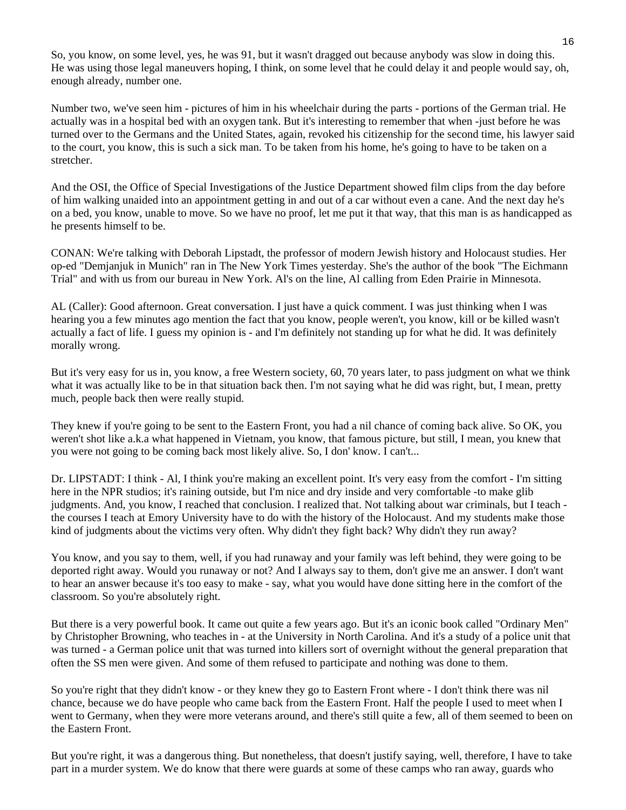So, you know, on some level, yes, he was 91, but it wasn't dragged out because anybody was slow in doing this. He was using those legal maneuvers hoping, I think, on some level that he could delay it and people would say, oh, enough already, number one.

Number two, we've seen him - pictures of him in his wheelchair during the parts - portions of the German trial. He actually was in a hospital bed with an oxygen tank. But it's interesting to remember that when -just before he was turned over to the Germans and the United States, again, revoked his citizenship for the second time, his lawyer said to the court, you know, this is such a sick man. To be taken from his home, he's going to have to be taken on a stretcher.

And the OSI, the Office of Special Investigations of the Justice Department showed film clips from the day before of him walking unaided into an appointment getting in and out of a car without even a cane. And the next day he's on a bed, you know, unable to move. So we have no proof, let me put it that way, that this man is as handicapped as he presents himself to be.

CONAN: We're talking with Deborah Lipstadt, the professor of modern Jewish history and Holocaust studies. Her op-ed "Demjanjuk in Munich" ran in The New York Times yesterday. She's the author of the book "The Eichmann Trial" and with us from our bureau in New York. Al's on the line, Al calling from Eden Prairie in Minnesota.

AL (Caller): Good afternoon. Great conversation. I just have a quick comment. I was just thinking when I was hearing you a few minutes ago mention the fact that you know, people weren't, you know, kill or be killed wasn't actually a fact of life. I guess my opinion is - and I'm definitely not standing up for what he did. It was definitely morally wrong.

But it's very easy for us in, you know, a free Western society, 60, 70 years later, to pass judgment on what we think what it was actually like to be in that situation back then. I'm not saying what he did was right, but, I mean, pretty much, people back then were really stupid.

They knew if you're going to be sent to the Eastern Front, you had a nil chance of coming back alive. So OK, you weren't shot like a.k.a what happened in Vietnam, you know, that famous picture, but still, I mean, you knew that you were not going to be coming back most likely alive. So, I don' know. I can't...

Dr. LIPSTADT: I think - Al, I think you're making an excellent point. It's very easy from the comfort - I'm sitting here in the NPR studios; it's raining outside, but I'm nice and dry inside and very comfortable -to make glib judgments. And, you know, I reached that conclusion. I realized that. Not talking about war criminals, but I teach the courses I teach at Emory University have to do with the history of the Holocaust. And my students make those kind of judgments about the victims very often. Why didn't they fight back? Why didn't they run away?

You know, and you say to them, well, if you had runaway and your family was left behind, they were going to be deported right away. Would you runaway or not? And I always say to them, don't give me an answer. I don't want to hear an answer because it's too easy to make - say, what you would have done sitting here in the comfort of the classroom. So you're absolutely right.

But there is a very powerful book. It came out quite a few years ago. But it's an iconic book called "Ordinary Men" by Christopher Browning, who teaches in - at the University in North Carolina. And it's a study of a police unit that was turned - a German police unit that was turned into killers sort of overnight without the general preparation that often the SS men were given. And some of them refused to participate and nothing was done to them.

So you're right that they didn't know - or they knew they go to Eastern Front where - I don't think there was nil chance, because we do have people who came back from the Eastern Front. Half the people I used to meet when I went to Germany, when they were more veterans around, and there's still quite a few, all of them seemed to been on the Eastern Front.

But you're right, it was a dangerous thing. But nonetheless, that doesn't justify saying, well, therefore, I have to take part in a murder system. We do know that there were guards at some of these camps who ran away, guards who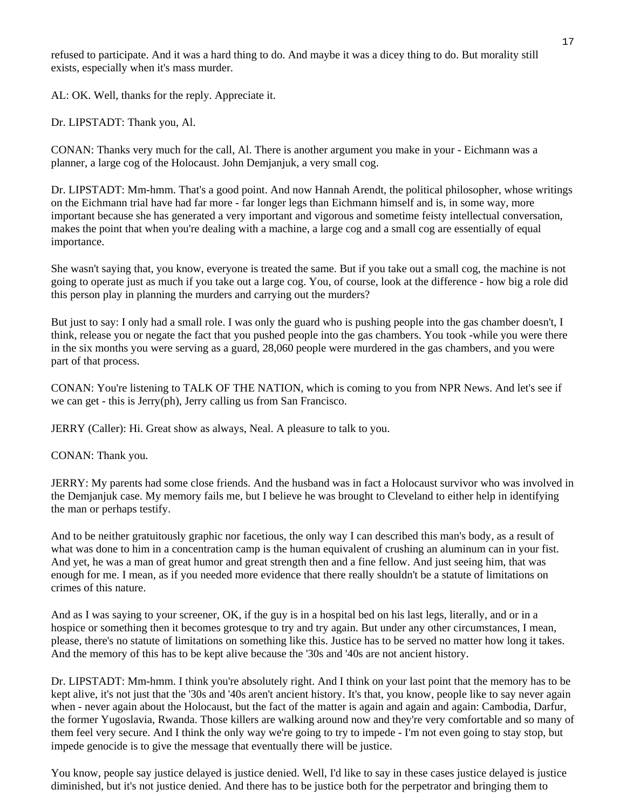refused to participate. And it was a hard thing to do. And maybe it was a dicey thing to do. But morality still exists, especially when it's mass murder.

AL: OK. Well, thanks for the reply. Appreciate it.

Dr. LIPSTADT: Thank you, Al.

CONAN: Thanks very much for the call, Al. There is another argument you make in your - Eichmann was a planner, a large cog of the Holocaust. John Demjanjuk, a very small cog.

Dr. LIPSTADT: Mm-hmm. That's a good point. And now Hannah Arendt, the political philosopher, whose writings on the Eichmann trial have had far more - far longer legs than Eichmann himself and is, in some way, more important because she has generated a very important and vigorous and sometime feisty intellectual conversation, makes the point that when you're dealing with a machine, a large cog and a small cog are essentially of equal importance.

She wasn't saying that, you know, everyone is treated the same. But if you take out a small cog, the machine is not going to operate just as much if you take out a large cog. You, of course, look at the difference - how big a role did this person play in planning the murders and carrying out the murders?

But just to say: I only had a small role. I was only the guard who is pushing people into the gas chamber doesn't, I think, release you or negate the fact that you pushed people into the gas chambers. You took -while you were there in the six months you were serving as a guard, 28,060 people were murdered in the gas chambers, and you were part of that process.

CONAN: You're listening to TALK OF THE NATION, which is coming to you from NPR News. And let's see if we can get - this is Jerry(ph), Jerry calling us from San Francisco.

JERRY (Caller): Hi. Great show as always, Neal. A pleasure to talk to you.

CONAN: Thank you.

JERRY: My parents had some close friends. And the husband was in fact a Holocaust survivor who was involved in the Demjanjuk case. My memory fails me, but I believe he was brought to Cleveland to either help in identifying the man or perhaps testify.

And to be neither gratuitously graphic nor facetious, the only way I can described this man's body, as a result of what was done to him in a concentration camp is the human equivalent of crushing an aluminum can in your fist. And yet, he was a man of great humor and great strength then and a fine fellow. And just seeing him, that was enough for me. I mean, as if you needed more evidence that there really shouldn't be a statute of limitations on crimes of this nature.

And as I was saying to your screener, OK, if the guy is in a hospital bed on his last legs, literally, and or in a hospice or something then it becomes grotesque to try and try again. But under any other circumstances, I mean, please, there's no statute of limitations on something like this. Justice has to be served no matter how long it takes. And the memory of this has to be kept alive because the '30s and '40s are not ancient history.

Dr. LIPSTADT: Mm-hmm. I think you're absolutely right. And I think on your last point that the memory has to be kept alive, it's not just that the '30s and '40s aren't ancient history. It's that, you know, people like to say never again when - never again about the Holocaust, but the fact of the matter is again and again and again: Cambodia, Darfur, the former Yugoslavia, Rwanda. Those killers are walking around now and they're very comfortable and so many of them feel very secure. And I think the only way we're going to try to impede - I'm not even going to stay stop, but impede genocide is to give the message that eventually there will be justice.

You know, people say justice delayed is justice denied. Well, I'd like to say in these cases justice delayed is justice diminished, but it's not justice denied. And there has to be justice both for the perpetrator and bringing them to